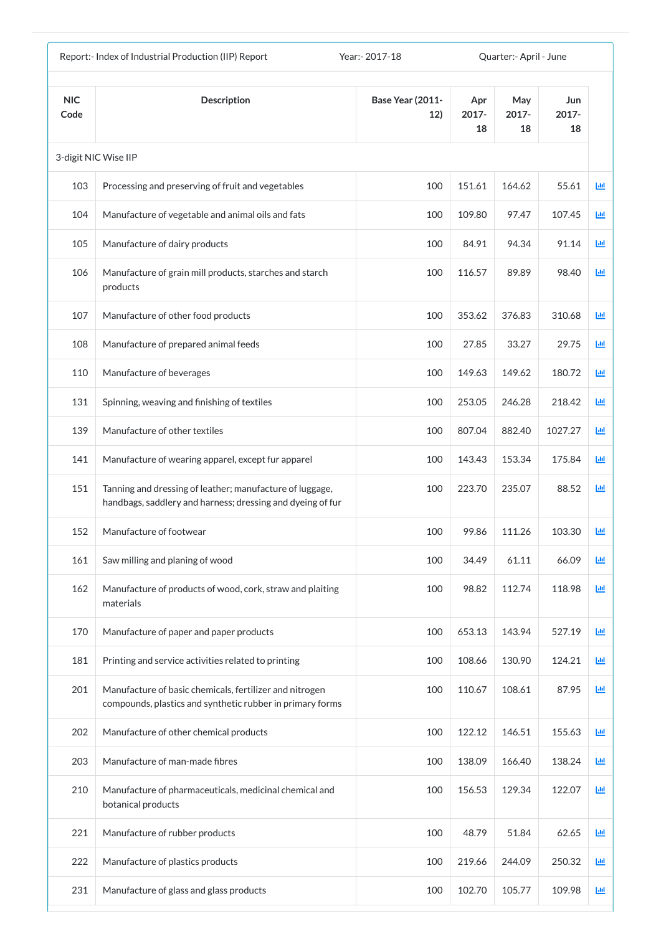|                    | Report:- Index of Industrial Production (IIP) Report                                                                   | Year: - 2017-18         |                       | Quarter: - April - June |                       |            |
|--------------------|------------------------------------------------------------------------------------------------------------------------|-------------------------|-----------------------|-------------------------|-----------------------|------------|
| <b>NIC</b><br>Code | <b>Description</b>                                                                                                     | Base Year (2011-<br>12) | Apr<br>$2017 -$<br>18 | May<br>$2017 -$<br>18   | Jun<br>$2017 -$<br>18 |            |
|                    | 3-digit NIC Wise IIP                                                                                                   |                         |                       |                         |                       |            |
| 103                | Processing and preserving of fruit and vegetables                                                                      | 100                     | 151.61                | 164.62                  | 55.61                 | <u>lad</u> |
| 104                | Manufacture of vegetable and animal oils and fats                                                                      | 100                     | 109.80                | 97.47                   | 107.45                | 匝          |
| 105                | Manufacture of dairy products                                                                                          | 100                     | 84.91                 | 94.34                   | 91.14                 | 國          |
| 106                | Manufacture of grain mill products, starches and starch<br>products                                                    | 100                     | 116.57                | 89.89                   | 98.40                 | 画          |
| 107                | Manufacture of other food products                                                                                     | 100                     | 353.62                | 376.83                  | 310.68                | 画          |
| 108                | Manufacture of prepared animal feeds                                                                                   | 100                     | 27.85                 | 33.27                   | 29.75                 | 國          |
| 110                | Manufacture of beverages                                                                                               | 100                     | 149.63                | 149.62                  | 180.72                | 匝          |
| 131                | Spinning, weaving and finishing of textiles                                                                            | 100                     | 253.05                | 246.28                  | 218.42                | 画          |
| 139                | Manufacture of other textiles                                                                                          | 100                     | 807.04                | 882.40                  | 1027.27               | ш          |
| 141                | Manufacture of wearing apparel, except fur apparel                                                                     | 100                     | 143.43                | 153.34                  | 175.84                | Ш          |
| 151                | Tanning and dressing of leather; manufacture of luggage,<br>handbags, saddlery and harness; dressing and dyeing of fur | 100                     | 223.70                | 235.07                  | 88.52                 | Ш          |
| 152                | Manufacture of footwear                                                                                                | 100                     | 99.86                 | 111.26                  | 103.30                | 画          |
| 161                | Saw milling and planing of wood                                                                                        | 100                     | 34.49                 | 61.11                   | 66.09                 | ш          |
| 162                | Manufacture of products of wood, cork, straw and plaiting<br>materials                                                 | 100                     | 98.82                 | 112.74                  | 118.98                | Ш          |
| 170                | Manufacture of paper and paper products                                                                                | 100                     | 653.13                | 143.94                  | 527.19                | ш          |
| 181                | Printing and service activities related to printing                                                                    | 100                     | 108.66                | 130.90                  | 124.21                | 画          |
| 201                | Manufacture of basic chemicals, fertilizer and nitrogen<br>compounds, plastics and synthetic rubber in primary forms   | 100                     | 110.67                | 108.61                  | 87.95                 | Ш          |
| 202                | Manufacture of other chemical products                                                                                 | 100                     | 122.12                | 146.51                  | 155.63                | ш          |
| 203                | Manufacture of man-made fibres                                                                                         | 100                     | 138.09                | 166.40                  | 138.24                | 画          |
| 210                | Manufacture of pharmaceuticals, medicinal chemical and<br>botanical products                                           | 100                     | 156.53                | 129.34                  | 122.07                | 画          |
| 221                | Manufacture of rubber products                                                                                         | 100                     | 48.79                 | 51.84                   | 62.65                 | Ш          |
| 222                | Manufacture of plastics products                                                                                       | 100                     | 219.66                | 244.09                  | 250.32                | Ш          |
| 231                | Manufacture of glass and glass products                                                                                | 100                     | 102.70                | 105.77                  | 109.98                | 画          |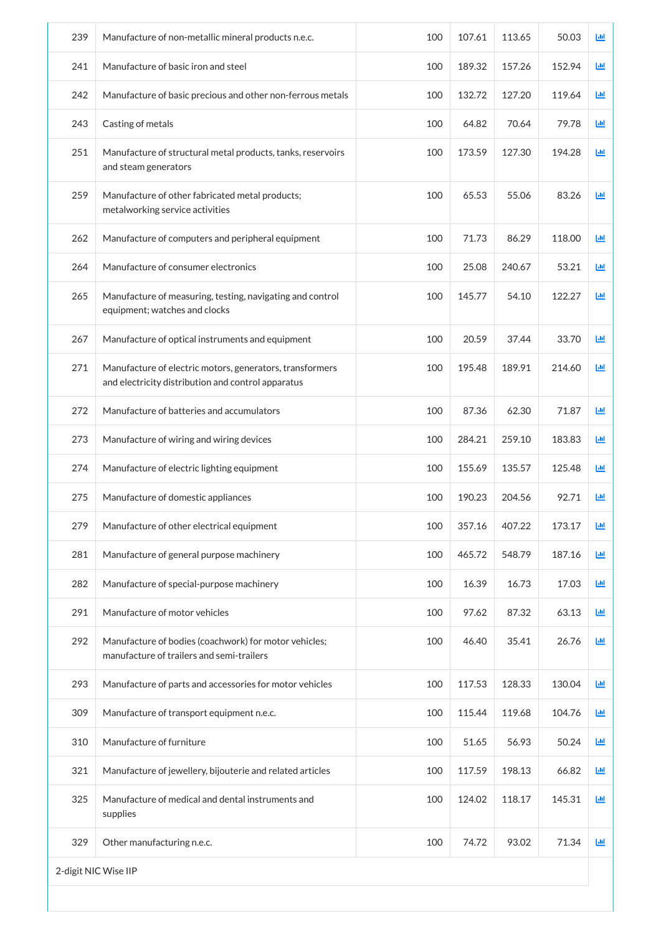| 239 | Manufacture of non-metallic mineral products n.e.c.                                                            | 100 | 107.61 | 113.65 | 50.03  | 画                         |
|-----|----------------------------------------------------------------------------------------------------------------|-----|--------|--------|--------|---------------------------|
| 241 | Manufacture of basic iron and steel                                                                            | 100 | 189.32 | 157.26 | 152.94 | Ш                         |
| 242 | Manufacture of basic precious and other non-ferrous metals                                                     | 100 | 132.72 | 127.20 | 119.64 | 画                         |
| 243 | Casting of metals                                                                                              | 100 | 64.82  | 70.64  | 79.78  | <b>Lul</b>                |
| 251 | Manufacture of structural metal products, tanks, reservoirs<br>and steam generators                            | 100 | 173.59 | 127.30 | 194.28 | 画                         |
| 259 | Manufacture of other fabricated metal products;<br>metalworking service activities                             | 100 | 65.53  | 55.06  | 83.26  | ĿЩ                        |
| 262 | Manufacture of computers and peripheral equipment                                                              | 100 | 71.73  | 86.29  | 118.00 | ĿЩ                        |
| 264 | Manufacture of consumer electronics                                                                            | 100 | 25.08  | 240.67 | 53.21  | 画                         |
| 265 | Manufacture of measuring, testing, navigating and control<br>equipment; watches and clocks                     | 100 | 145.77 | 54.10  | 122.27 | $\mathbf{L}$              |
| 267 | Manufacture of optical instruments and equipment                                                               | 100 | 20.59  | 37.44  | 33.70  | 画                         |
| 271 | Manufacture of electric motors, generators, transformers<br>and electricity distribution and control apparatus | 100 | 195.48 | 189.91 | 214.60 | 國                         |
| 272 | Manufacture of batteries and accumulators                                                                      | 100 | 87.36  | 62.30  | 71.87  | ${\color{red}\text{Lb1}}$ |
| 273 | Manufacture of wiring and wiring devices                                                                       | 100 | 284.21 | 259.10 | 183.83 | 画                         |
| 274 | Manufacture of electric lighting equipment                                                                     | 100 | 155.69 | 135.57 | 125.48 | Ш                         |
| 275 | Manufacture of domestic appliances                                                                             | 100 | 190.23 | 204.56 | 92.71  | 画                         |
| 279 | Manufacture of other electrical equipment                                                                      | 100 | 357.16 | 407.22 | 173.17 | ĿШ                        |
| 281 | Manufacture of general purpose machinery                                                                       | 100 | 465.72 | 548.79 | 187.16 | 画                         |
| 282 | Manufacture of special-purpose machinery                                                                       | 100 | 16.39  | 16.73  | 17.03  | ĿШ                        |
| 291 | Manufacture of motor vehicles                                                                                  | 100 | 97.62  | 87.32  | 63.13  | 画                         |
| 292 | Manufacture of bodies (coachwork) for motor vehicles;<br>manufacture of trailers and semi-trailers             | 100 | 46.40  | 35.41  | 26.76  | $L_{\rm H}$               |
| 293 | Manufacture of parts and accessories for motor vehicles                                                        | 100 | 117.53 | 128.33 | 130.04 | 画                         |
| 309 | Manufacture of transport equipment n.e.c.                                                                      | 100 | 115.44 | 119.68 | 104.76 | 画                         |
| 310 | Manufacture of furniture                                                                                       | 100 | 51.65  | 56.93  | 50.24  | <b>Lut</b>                |
| 321 | Manufacture of jewellery, bijouterie and related articles                                                      | 100 | 117.59 | 198.13 | 66.82  | 画                         |
| 325 | Manufacture of medical and dental instruments and<br>supplies                                                  | 100 | 124.02 | 118.17 | 145.31 | ĿЩ                        |
| 329 | Other manufacturing n.e.c.                                                                                     | 100 | 74.72  | 93.02  | 71.34  | <b>Lut</b>                |
|     | 2-digit NIC Wise IIP                                                                                           |     |        |        |        |                           |
|     |                                                                                                                |     |        |        |        |                           |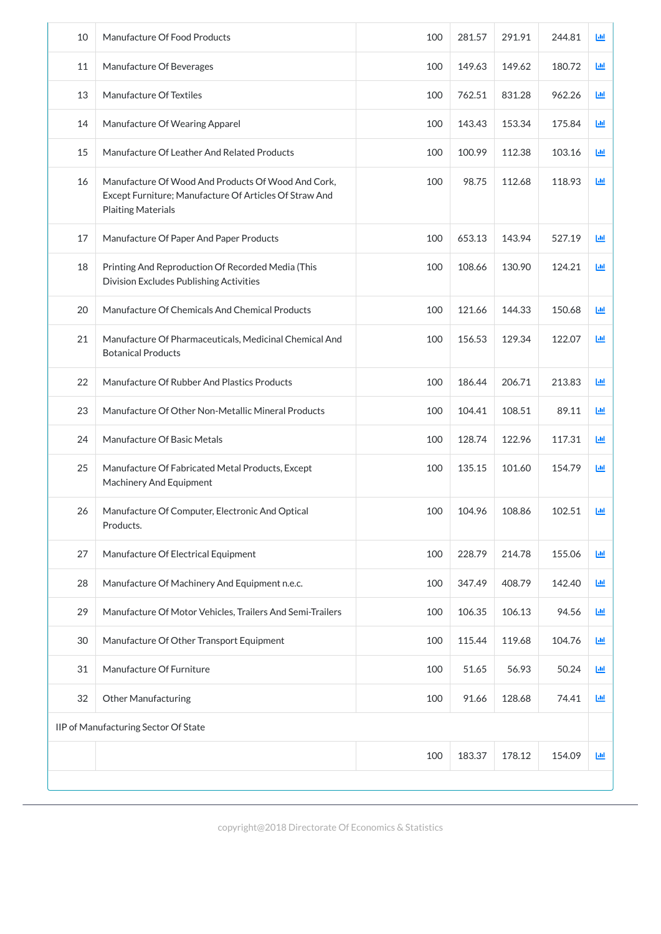| 10                                   | Manufacture Of Food Products                                                                                                              | 100 | 281.57 | 291.91 | 244.81 | LЩ |  |
|--------------------------------------|-------------------------------------------------------------------------------------------------------------------------------------------|-----|--------|--------|--------|----|--|
| 11                                   | Manufacture Of Beverages                                                                                                                  | 100 | 149.63 | 149.62 | 180.72 | 画  |  |
| 13                                   | Manufacture Of Textiles                                                                                                                   | 100 | 762.51 | 831.28 | 962.26 | LЩ |  |
| 14                                   | Manufacture Of Wearing Apparel                                                                                                            | 100 | 143.43 | 153.34 | 175.84 | LЩ |  |
| 15                                   | Manufacture Of Leather And Related Products                                                                                               | 100 | 100.99 | 112.38 | 103.16 | ĿЩ |  |
| 16                                   | Manufacture Of Wood And Products Of Wood And Cork,<br>Except Furniture; Manufacture Of Articles Of Straw And<br><b>Plaiting Materials</b> | 100 | 98.75  | 112.68 | 118.93 | ĿЩ |  |
| 17                                   | Manufacture Of Paper And Paper Products                                                                                                   | 100 | 653.13 | 143.94 | 527.19 | 画  |  |
| 18                                   | Printing And Reproduction Of Recorded Media (This<br><b>Division Excludes Publishing Activities</b>                                       | 100 | 108.66 | 130.90 | 124.21 | ĿШ |  |
| 20                                   | Manufacture Of Chemicals And Chemical Products                                                                                            | 100 | 121.66 | 144.33 | 150.68 | 画  |  |
| 21                                   | Manufacture Of Pharmaceuticals, Medicinal Chemical And<br><b>Botanical Products</b>                                                       | 100 | 156.53 | 129.34 | 122.07 | 画  |  |
| 22                                   | Manufacture Of Rubber And Plastics Products                                                                                               | 100 | 186.44 | 206.71 | 213.83 | Ш  |  |
| 23                                   | Manufacture Of Other Non-Metallic Mineral Products                                                                                        | 100 | 104.41 | 108.51 | 89.11  | Ш  |  |
| 24                                   | Manufacture Of Basic Metals                                                                                                               | 100 | 128.74 | 122.96 | 117.31 | Ш  |  |
| 25                                   | Manufacture Of Fabricated Metal Products, Except<br><b>Machinery And Equipment</b>                                                        | 100 | 135.15 | 101.60 | 154.79 | Ш  |  |
| 26                                   | Manufacture Of Computer, Electronic And Optical<br>Products.                                                                              | 100 | 104.96 | 108.86 | 102.51 | LЩ |  |
| 27                                   | Manufacture Of Electrical Equipment                                                                                                       | 100 | 228.79 | 214.78 | 155.06 | LЩ |  |
| 28                                   | Manufacture Of Machinery And Equipment n.e.c.                                                                                             | 100 | 347.49 | 408.79 | 142.40 | 画  |  |
| 29                                   | Manufacture Of Motor Vehicles, Trailers And Semi-Trailers                                                                                 | 100 | 106.35 | 106.13 | 94.56  | ĿЩ |  |
| 30                                   | Manufacture Of Other Transport Equipment                                                                                                  | 100 | 115.44 | 119.68 | 104.76 | 画  |  |
| 31                                   | Manufacture Of Furniture                                                                                                                  | 100 | 51.65  | 56.93  | 50.24  | ĿЩ |  |
| 32                                   | <b>Other Manufacturing</b>                                                                                                                | 100 | 91.66  | 128.68 | 74.41  | 画  |  |
| IIP of Manufacturing Sector Of State |                                                                                                                                           |     |        |        |        |    |  |
|                                      |                                                                                                                                           |     |        |        |        |    |  |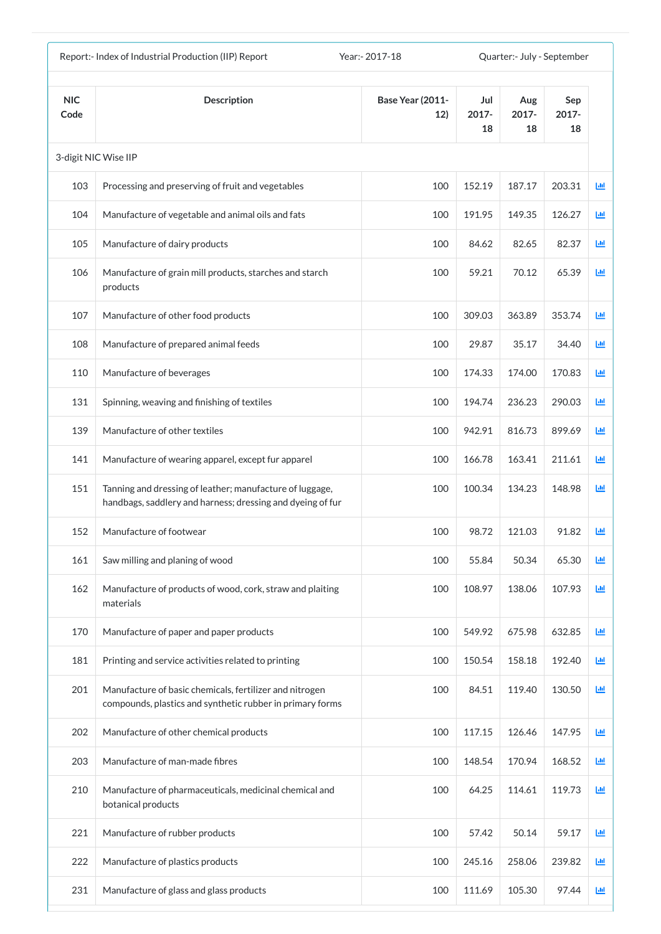| Report:- Index of Industrial Production (IIP) Report<br>Year: - 2017-18 |                                                                                                                        |                                |                    | Quarter:- July - September |                       |            |  |
|-------------------------------------------------------------------------|------------------------------------------------------------------------------------------------------------------------|--------------------------------|--------------------|----------------------------|-----------------------|------------|--|
| <b>NIC</b><br>Code                                                      | <b>Description</b>                                                                                                     | <b>Base Year (2011-</b><br>12) | Jul<br>2017-<br>18 | Aug<br>$2017 -$<br>18      | Sep<br>$2017 -$<br>18 |            |  |
|                                                                         | 3-digit NIC Wise IIP                                                                                                   |                                |                    |                            |                       |            |  |
| 103                                                                     | Processing and preserving of fruit and vegetables                                                                      | 100                            | 152.19             | 187.17                     | 203.31                | <u>lad</u> |  |
| 104                                                                     | Manufacture of vegetable and animal oils and fats                                                                      | 100                            | 191.95             | 149.35                     | 126.27                | 画          |  |
| 105                                                                     | Manufacture of dairy products                                                                                          | 100                            | 84.62              | 82.65                      | 82.37                 | 画          |  |
| 106                                                                     | Manufacture of grain mill products, starches and starch<br>products                                                    | 100                            | 59.21              | 70.12                      | 65.39                 | 國          |  |
| 107                                                                     | Manufacture of other food products                                                                                     | 100                            | 309.03             | 363.89                     | 353.74                | 画          |  |
| 108                                                                     | Manufacture of prepared animal feeds                                                                                   | 100                            | 29.87              | 35.17                      | 34.40                 | 画          |  |
| 110                                                                     | Manufacture of beverages                                                                                               | 100                            | 174.33             | 174.00                     | 170.83                | 匝          |  |
| 131                                                                     | Spinning, weaving and finishing of textiles                                                                            | 100                            | 194.74             | 236.23                     | 290.03                | Ш          |  |
| 139                                                                     | Manufacture of other textiles                                                                                          | 100                            | 942.91             | 816.73                     | 899.69                | ш          |  |
| 141                                                                     | Manufacture of wearing apparel, except fur apparel                                                                     | 100                            | 166.78             | 163.41                     | 211.61                | ш          |  |
| 151                                                                     | Tanning and dressing of leather; manufacture of luggage,<br>handbags, saddlery and harness; dressing and dyeing of fur | 100                            | 100.34             | 134.23                     | 148.98                | ш          |  |
| 152                                                                     | Manufacture of footwear                                                                                                | 100                            | 98.72              | 121.03                     | 91.82                 | ш          |  |
| 161                                                                     | Saw milling and planing of wood                                                                                        | 100                            | 55.84              | 50.34                      | 65.30                 | 画          |  |
| 162                                                                     | Manufacture of products of wood, cork, straw and plaiting<br>materials                                                 | 100                            | 108.97             | 138.06                     | 107.93                | 画          |  |
| 170                                                                     | Manufacture of paper and paper products                                                                                | 100                            | 549.92             | 675.98                     | 632.85                | 國          |  |
| 181                                                                     | Printing and service activities related to printing                                                                    | 100                            | 150.54             | 158.18                     | 192.40                | 画          |  |
| 201                                                                     | Manufacture of basic chemicals, fertilizer and nitrogen<br>compounds, plastics and synthetic rubber in primary forms   | 100                            | 84.51              | 119.40                     | 130.50                | 画          |  |
| 202                                                                     | Manufacture of other chemical products                                                                                 | 100                            | 117.15             | 126.46                     | 147.95                | 画          |  |
| 203                                                                     | Manufacture of man-made fibres                                                                                         | 100                            | 148.54             | 170.94                     | 168.52                | Ш          |  |
| 210                                                                     | Manufacture of pharmaceuticals, medicinal chemical and<br>botanical products                                           | 100                            | 64.25              | 114.61                     | 119.73                | 画          |  |
| 221                                                                     | Manufacture of rubber products                                                                                         | 100                            | 57.42              | 50.14                      | 59.17                 | 画          |  |
| 222                                                                     | Manufacture of plastics products                                                                                       | 100                            | 245.16             | 258.06                     | 239.82                | Ш          |  |
| 231                                                                     | Manufacture of glass and glass products                                                                                | 100                            | 111.69             | 105.30                     | 97.44                 | 画          |  |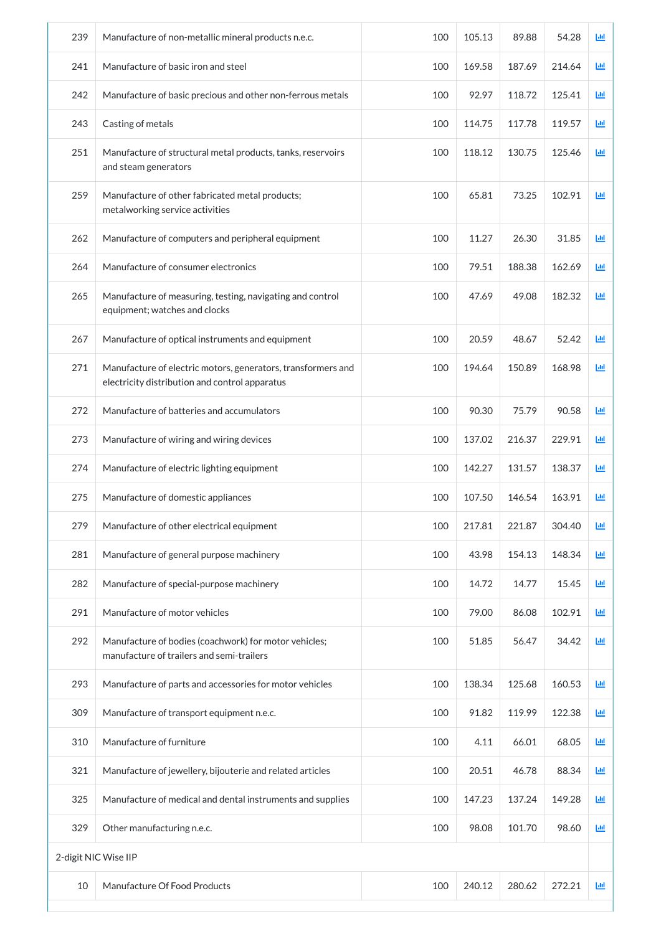| 239 | Manufacture of non-metallic mineral products n.e.c.                                                            | 100 | 105.13 | 89.88  | 54.28  | Ш |
|-----|----------------------------------------------------------------------------------------------------------------|-----|--------|--------|--------|---|
| 241 | Manufacture of basic iron and steel                                                                            | 100 | 169.58 | 187.69 | 214.64 | 画 |
| 242 | Manufacture of basic precious and other non-ferrous metals                                                     | 100 | 92.97  | 118.72 | 125.41 | 画 |
| 243 | Casting of metals                                                                                              | 100 | 114.75 | 117.78 | 119.57 | ш |
| 251 | Manufacture of structural metal products, tanks, reservoirs<br>and steam generators                            | 100 | 118.12 | 130.75 | 125.46 | 画 |
| 259 | Manufacture of other fabricated metal products;<br>metalworking service activities                             | 100 | 65.81  | 73.25  | 102.91 | 画 |
| 262 | Manufacture of computers and peripheral equipment                                                              | 100 | 11.27  | 26.30  | 31.85  | 画 |
| 264 | Manufacture of consumer electronics                                                                            | 100 | 79.51  | 188.38 | 162.69 | 画 |
| 265 | Manufacture of measuring, testing, navigating and control<br>equipment; watches and clocks                     | 100 | 47.69  | 49.08  | 182.32 | 画 |
| 267 | Manufacture of optical instruments and equipment                                                               | 100 | 20.59  | 48.67  | 52.42  | 画 |
| 271 | Manufacture of electric motors, generators, transformers and<br>electricity distribution and control apparatus | 100 | 194.64 | 150.89 | 168.98 | ш |
| 272 | Manufacture of batteries and accumulators                                                                      | 100 | 90.30  | 75.79  | 90.58  | ш |
| 273 | Manufacture of wiring and wiring devices                                                                       | 100 | 137.02 | 216.37 | 229.91 | 画 |
| 274 | Manufacture of electric lighting equipment                                                                     | 100 | 142.27 | 131.57 | 138.37 | 画 |
| 275 | Manufacture of domestic appliances                                                                             | 100 | 107.50 | 146.54 | 163.91 | 画 |
| 279 | Manufacture of other electrical equipment                                                                      | 100 | 217.81 | 221.87 | 304.40 | 画 |
| 281 | Manufacture of general purpose machinery                                                                       | 100 | 43.98  | 154.13 | 148.34 | 画 |
| 282 | Manufacture of special-purpose machinery                                                                       | 100 | 14.72  | 14.77  | 15.45  | 画 |
| 291 | Manufacture of motor vehicles                                                                                  | 100 | 79.00  | 86.08  | 102.91 | 画 |
| 292 | Manufacture of bodies (coachwork) for motor vehicles;<br>manufacture of trailers and semi-trailers             | 100 | 51.85  | 56.47  | 34.42  | 画 |
| 293 | Manufacture of parts and accessories for motor vehicles                                                        | 100 | 138.34 | 125.68 | 160.53 | 画 |
| 309 | Manufacture of transport equipment n.e.c.                                                                      | 100 | 91.82  | 119.99 | 122.38 | 画 |
| 310 | Manufacture of furniture                                                                                       | 100 | 4.11   | 66.01  | 68.05  | 画 |
| 321 | Manufacture of jewellery, bijouterie and related articles                                                      | 100 | 20.51  | 46.78  | 88.34  | 画 |
| 325 | Manufacture of medical and dental instruments and supplies                                                     | 100 | 147.23 | 137.24 | 149.28 | 画 |
| 329 | Other manufacturing n.e.c.                                                                                     | 100 | 98.08  | 101.70 | 98.60  | 画 |
|     | 2-digit NIC Wise IIP                                                                                           |     |        |        |        |   |
| 10  | Manufacture Of Food Products                                                                                   | 100 | 240.12 | 280.62 | 272.21 | 画 |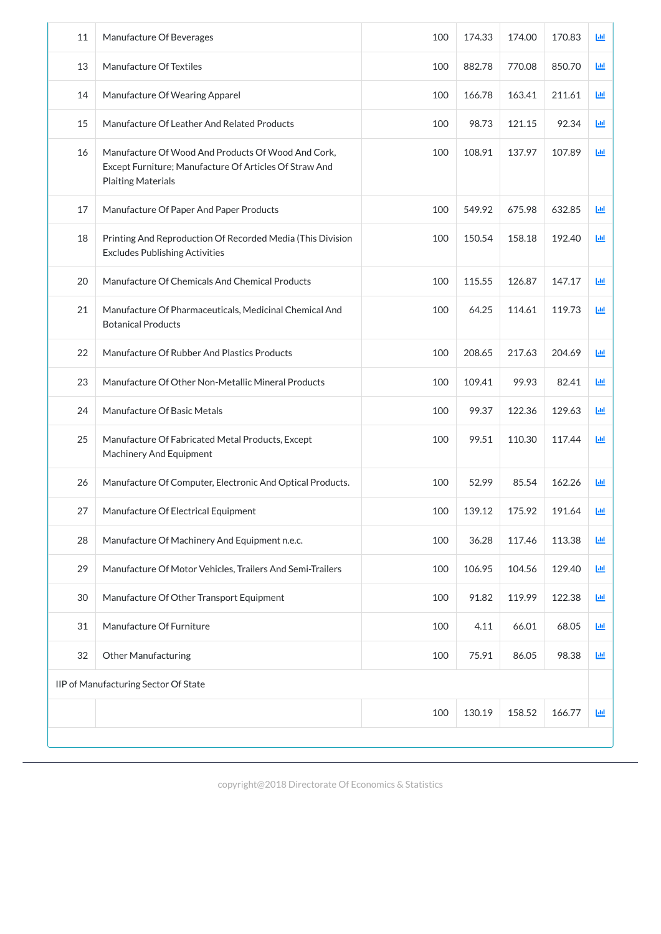| 11 | Manufacture Of Beverages                                                                                                                  | 100 | 174.33 | 174.00 | 170.83 | Ш                          |
|----|-------------------------------------------------------------------------------------------------------------------------------------------|-----|--------|--------|--------|----------------------------|
| 13 | Manufacture Of Textiles                                                                                                                   | 100 | 882.78 | 770.08 | 850.70 | Ш                          |
| 14 | Manufacture Of Wearing Apparel                                                                                                            | 100 | 166.78 | 163.41 | 211.61 | 画                          |
| 15 | Manufacture Of Leather And Related Products                                                                                               | 100 | 98.73  | 121.15 | 92.34  | 画                          |
| 16 | Manufacture Of Wood And Products Of Wood And Cork,<br>Except Furniture; Manufacture Of Articles Of Straw And<br><b>Plaiting Materials</b> | 100 | 108.91 | 137.97 | 107.89 | 画                          |
| 17 | Manufacture Of Paper And Paper Products                                                                                                   | 100 | 549.92 | 675.98 | 632.85 | 画                          |
| 18 | Printing And Reproduction Of Recorded Media (This Division<br><b>Excludes Publishing Activities</b>                                       | 100 | 150.54 | 158.18 | 192.40 | 画                          |
| 20 | Manufacture Of Chemicals And Chemical Products                                                                                            | 100 | 115.55 | 126.87 | 147.17 | 画                          |
| 21 | Manufacture Of Pharmaceuticals, Medicinal Chemical And<br><b>Botanical Products</b>                                                       | 100 | 64.25  | 114.61 | 119.73 | 画                          |
| 22 | Manufacture Of Rubber And Plastics Products                                                                                               | 100 | 208.65 | 217.63 | 204.69 | 画                          |
| 23 | Manufacture Of Other Non-Metallic Mineral Products                                                                                        | 100 | 109.41 | 99.93  | 82.41  | 画                          |
| 24 | Manufacture Of Basic Metals                                                                                                               | 100 | 99.37  | 122.36 | 129.63 | $\underline{\mathsf{Lul}}$ |
| 25 | Manufacture Of Fabricated Metal Products, Except<br><b>Machinery And Equipment</b>                                                        | 100 | 99.51  | 110.30 | 117.44 | 画                          |
| 26 | Manufacture Of Computer, Electronic And Optical Products.                                                                                 | 100 | 52.99  | 85.54  | 162.26 | 画                          |
| 27 | Manufacture Of Electrical Equipment                                                                                                       | 100 | 139.12 | 175.92 | 191.64 | 画                          |
| 28 | Manufacture Of Machinery And Equipment n.e.c.                                                                                             | 100 | 36.28  | 117.46 | 113.38 | 画                          |
| 29 | Manufacture Of Motor Vehicles, Trailers And Semi-Trailers                                                                                 | 100 | 106.95 | 104.56 | 129.40 | 画                          |
| 30 | Manufacture Of Other Transport Equipment                                                                                                  | 100 | 91.82  | 119.99 | 122.38 | 画                          |
| 31 | Manufacture Of Furniture                                                                                                                  | 100 | 4.11   | 66.01  | 68.05  | 画                          |
| 32 | <b>Other Manufacturing</b>                                                                                                                | 100 | 75.91  | 86.05  | 98.38  | 画                          |
|    | IIP of Manufacturing Sector Of State                                                                                                      |     |        |        |        |                            |
|    |                                                                                                                                           | 100 | 130.19 | 158.52 | 166.77 | 画                          |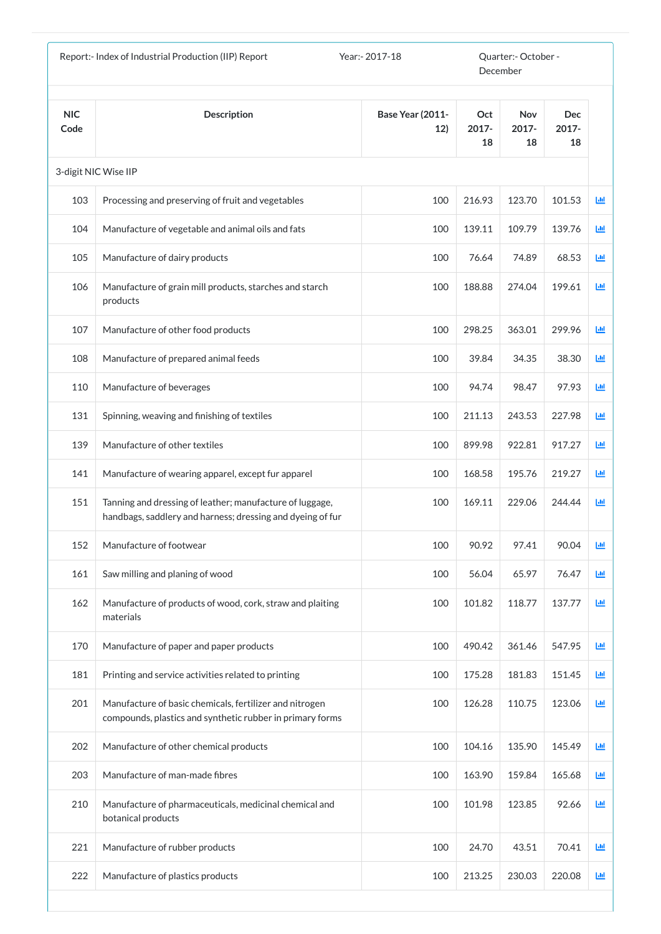|                    | Report:- Index of Industrial Production (IIP) Report                                                                   | Year:- 2017-18                 | Quarter:- October -<br>December |                           |                           |              |
|--------------------|------------------------------------------------------------------------------------------------------------------------|--------------------------------|---------------------------------|---------------------------|---------------------------|--------------|
| <b>NIC</b><br>Code | <b>Description</b>                                                                                                     | <b>Base Year (2011-</b><br>12) | Oct<br>2017-<br>18              | <b>Nov</b><br>2017-<br>18 | <b>Dec</b><br>2017-<br>18 |              |
|                    | 3-digit NIC Wise IIP                                                                                                   |                                |                                 |                           |                           |              |
| 103                | Processing and preserving of fruit and vegetables                                                                      | 100                            | 216.93                          | 123.70                    | 101.53                    | ĿЩ           |
| 104                | Manufacture of vegetable and animal oils and fats                                                                      | 100                            | 139.11                          | 109.79                    | 139.76                    | ĿЩ           |
| 105                | Manufacture of dairy products                                                                                          | 100                            | 76.64                           | 74.89                     | 68.53                     | <b>Lut</b>   |
| 106                | Manufacture of grain mill products, starches and starch<br>products                                                    | 100                            | 188.88                          | 274.04                    | 199.61                    | 画            |
| 107                | Manufacture of other food products                                                                                     | 100                            | 298.25                          | 363.01                    | 299.96                    | Ш            |
| 108                | Manufacture of prepared animal feeds                                                                                   | 100                            | 39.84                           | 34.35                     | 38.30                     | 画            |
| 110                | Manufacture of beverages                                                                                               | 100                            | 94.74                           | 98.47                     | 97.93                     | Ш            |
| 131                | Spinning, weaving and finishing of textiles                                                                            | 100                            | 211.13                          | 243.53                    | 227.98                    | LЩ           |
| 139                | Manufacture of other textiles                                                                                          | 100                            | 899.98                          | 922.81                    | 917.27                    | Ш            |
| 141                | Manufacture of wearing apparel, except fur apparel                                                                     | 100                            | 168.58                          | 195.76                    | 219.27                    | 画            |
| 151                | Tanning and dressing of leather; manufacture of luggage,<br>handbags, saddlery and harness; dressing and dyeing of fur | 100                            | 169.11                          | 229.06                    | 244.44                    | 画            |
| 152                | Manufacture of footwear                                                                                                | 100                            | 90.92                           | 97.41                     | 90.04                     | LЩ           |
| 161                | Saw milling and planing of wood                                                                                        | 100                            | 56.04                           | 65.97                     | 76.47                     | LЩ           |
| 162                | Manufacture of products of wood, cork, straw and plaiting<br>materials                                                 | 100                            | 101.82                          | 118.77                    | 137.77                    | ĿЩ           |
| 170                | Manufacture of paper and paper products                                                                                | 100                            | 490.42                          | 361.46                    | 547.95                    | 画            |
| 181                | Printing and service activities related to printing                                                                    | 100                            | 175.28                          | 181.83                    | 151.45                    | 画            |
| 201                | Manufacture of basic chemicals, fertilizer and nitrogen<br>compounds, plastics and synthetic rubber in primary forms   | 100                            | 126.28                          | 110.75                    | 123.06                    | 画            |
| 202                | Manufacture of other chemical products                                                                                 | 100                            | 104.16                          | 135.90                    | 145.49                    | $\mathbf{L}$ |
| 203                | Manufacture of man-made fibres                                                                                         | 100                            | 163.90                          | 159.84                    | 165.68                    | 画            |
| 210                | Manufacture of pharmaceuticals, medicinal chemical and<br>botanical products                                           | 100                            | 101.98                          | 123.85                    | 92.66                     | Щ            |
| 221                | Manufacture of rubber products                                                                                         | 100                            | 24.70                           | 43.51                     | 70.41                     | 画            |
| 222                | Manufacture of plastics products                                                                                       | 100                            | 213.25                          | 230.03                    | 220.08                    | $\mathbf{L}$ |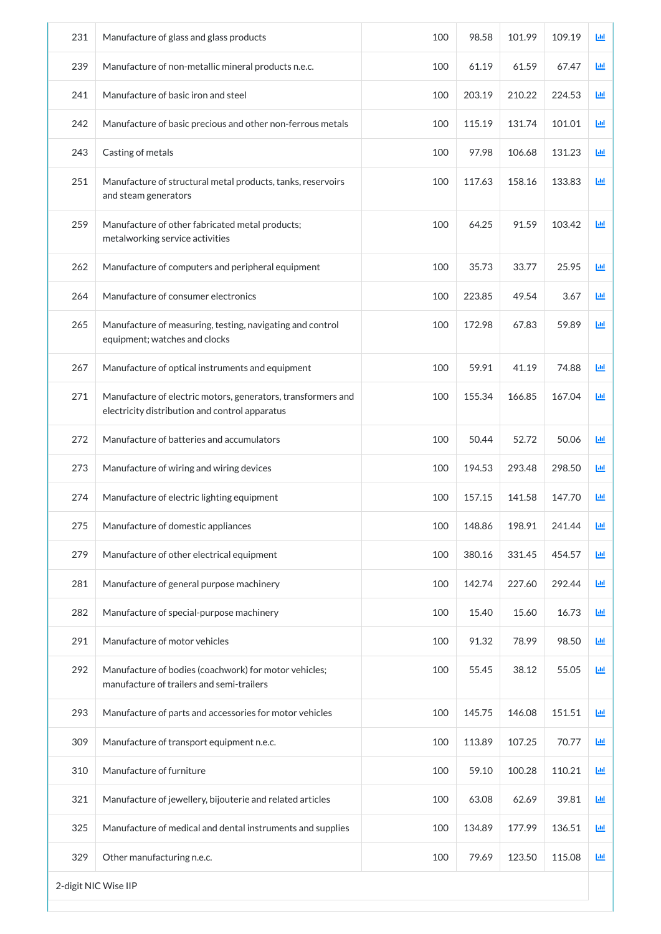| 231 | Manufacture of glass and glass products                                                                        | 100 | 98.58  | 101.99 | 109.19 | 画 |
|-----|----------------------------------------------------------------------------------------------------------------|-----|--------|--------|--------|---|
| 239 | Manufacture of non-metallic mineral products n.e.c.                                                            | 100 | 61.19  | 61.59  | 67.47  | ш |
| 241 | Manufacture of basic iron and steel                                                                            | 100 | 203.19 | 210.22 | 224.53 | ш |
| 242 | Manufacture of basic precious and other non-ferrous metals                                                     | 100 | 115.19 | 131.74 | 101.01 | 画 |
| 243 | Casting of metals                                                                                              | 100 | 97.98  | 106.68 | 131.23 | 画 |
| 251 | Manufacture of structural metal products, tanks, reservoirs<br>and steam generators                            | 100 | 117.63 | 158.16 | 133.83 | 画 |
| 259 | Manufacture of other fabricated metal products;<br>metalworking service activities                             | 100 | 64.25  | 91.59  | 103.42 | 画 |
| 262 | Manufacture of computers and peripheral equipment                                                              | 100 | 35.73  | 33.77  | 25.95  | 画 |
| 264 | Manufacture of consumer electronics                                                                            | 100 | 223.85 | 49.54  | 3.67   | 画 |
| 265 | Manufacture of measuring, testing, navigating and control<br>equipment; watches and clocks                     | 100 | 172.98 | 67.83  | 59.89  | 画 |
| 267 | Manufacture of optical instruments and equipment                                                               | 100 | 59.91  | 41.19  | 74.88  | Ш |
| 271 | Manufacture of electric motors, generators, transformers and<br>electricity distribution and control apparatus | 100 | 155.34 | 166.85 | 167.04 | 画 |
| 272 | Manufacture of batteries and accumulators                                                                      | 100 | 50.44  | 52.72  | 50.06  | 画 |
| 273 | Manufacture of wiring and wiring devices                                                                       | 100 | 194.53 | 293.48 | 298.50 | ш |
| 274 | Manufacture of electric lighting equipment                                                                     | 100 | 157.15 | 141.58 | 147.70 | 匝 |
| 275 | Manufacture of domestic appliances                                                                             | 100 | 148.86 | 198.91 | 241.44 | 画 |
| 279 | Manufacture of other electrical equipment                                                                      | 100 | 380.16 | 331.45 | 454.57 | 画 |
| 281 | Manufacture of general purpose machinery                                                                       | 100 | 142.74 | 227.60 | 292.44 | 画 |
| 282 | Manufacture of special-purpose machinery                                                                       | 100 | 15.40  | 15.60  | 16.73  | 画 |
| 291 | Manufacture of motor vehicles                                                                                  | 100 | 91.32  | 78.99  | 98.50  | 画 |
| 292 | Manufacture of bodies (coachwork) for motor vehicles;<br>manufacture of trailers and semi-trailers             | 100 | 55.45  | 38.12  | 55.05  | 画 |
| 293 | Manufacture of parts and accessories for motor vehicles                                                        | 100 | 145.75 | 146.08 | 151.51 | 画 |
| 309 | Manufacture of transport equipment n.e.c.                                                                      | 100 | 113.89 | 107.25 | 70.77  | 画 |
| 310 | Manufacture of furniture                                                                                       | 100 | 59.10  | 100.28 | 110.21 | 画 |
| 321 | Manufacture of jewellery, bijouterie and related articles                                                      | 100 | 63.08  | 62.69  | 39.81  | 画 |
| 325 | Manufacture of medical and dental instruments and supplies                                                     | 100 | 134.89 | 177.99 | 136.51 | 画 |
| 329 | Other manufacturing n.e.c.                                                                                     | 100 | 79.69  | 123.50 | 115.08 | 画 |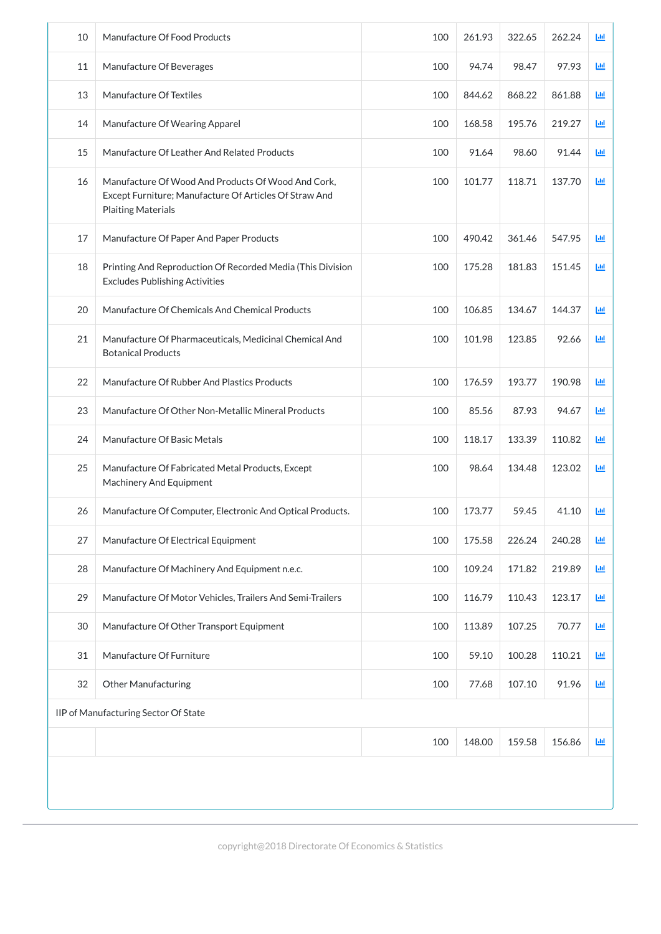| 10 | Manufacture Of Food Products                                                                                                              | 100 | 261.93 | 322.65 | 262.24 | Ш |
|----|-------------------------------------------------------------------------------------------------------------------------------------------|-----|--------|--------|--------|---|
| 11 | Manufacture Of Beverages                                                                                                                  | 100 | 94.74  | 98.47  | 97.93  | 画 |
| 13 | Manufacture Of Textiles                                                                                                                   | 100 | 844.62 | 868.22 | 861.88 | 画 |
| 14 | Manufacture Of Wearing Apparel                                                                                                            | 100 | 168.58 | 195.76 | 219.27 | ш |
| 15 | Manufacture Of Leather And Related Products                                                                                               | 100 | 91.64  | 98.60  | 91.44  | 匝 |
| 16 | Manufacture Of Wood And Products Of Wood And Cork,<br>Except Furniture; Manufacture Of Articles Of Straw And<br><b>Plaiting Materials</b> | 100 | 101.77 | 118.71 | 137.70 | 画 |
| 17 | Manufacture Of Paper And Paper Products                                                                                                   | 100 | 490.42 | 361.46 | 547.95 | 画 |
| 18 | Printing And Reproduction Of Recorded Media (This Division<br><b>Excludes Publishing Activities</b>                                       | 100 | 175.28 | 181.83 | 151.45 | 画 |
| 20 | Manufacture Of Chemicals And Chemical Products                                                                                            | 100 | 106.85 | 134.67 | 144.37 | 画 |
| 21 | Manufacture Of Pharmaceuticals, Medicinal Chemical And<br><b>Botanical Products</b>                                                       | 100 | 101.98 | 123.85 | 92.66  | 画 |
| 22 | Manufacture Of Rubber And Plastics Products                                                                                               | 100 | 176.59 | 193.77 | 190.98 | 画 |
| 23 | Manufacture Of Other Non-Metallic Mineral Products                                                                                        | 100 | 85.56  | 87.93  | 94.67  | ш |
| 24 | Manufacture Of Basic Metals                                                                                                               | 100 | 118.17 | 133.39 | 110.82 | ш |
| 25 | Manufacture Of Fabricated Metal Products, Except<br><b>Machinery And Equipment</b>                                                        | 100 | 98.64  | 134.48 | 123.02 | 画 |
| 26 | Manufacture Of Computer, Electronic And Optical Products.                                                                                 | 100 | 173.77 | 59.45  | 41.10  | 画 |
| 27 | Manufacture Of Electrical Equipment                                                                                                       | 100 | 175.58 | 226.24 | 240.28 | 画 |
| 28 | Manufacture Of Machinery And Equipment n.e.c.                                                                                             | 100 | 109.24 | 171.82 | 219.89 | 画 |
| 29 | Manufacture Of Motor Vehicles, Trailers And Semi-Trailers                                                                                 | 100 | 116.79 | 110.43 | 123.17 | 画 |
| 30 | Manufacture Of Other Transport Equipment                                                                                                  | 100 | 113.89 | 107.25 | 70.77  | 画 |
| 31 | Manufacture Of Furniture                                                                                                                  | 100 | 59.10  | 100.28 | 110.21 | 画 |
| 32 | <b>Other Manufacturing</b>                                                                                                                | 100 | 77.68  | 107.10 | 91.96  | 画 |

| IIP of Manufacturing Sector Of State |     |        |        |        |            |  |  |
|--------------------------------------|-----|--------|--------|--------|------------|--|--|
|                                      | 100 | 148.00 | 159.58 | 156.86 | <b>Jul</b> |  |  |
|                                      |     |        |        |        |            |  |  |
|                                      |     |        |        |        |            |  |  |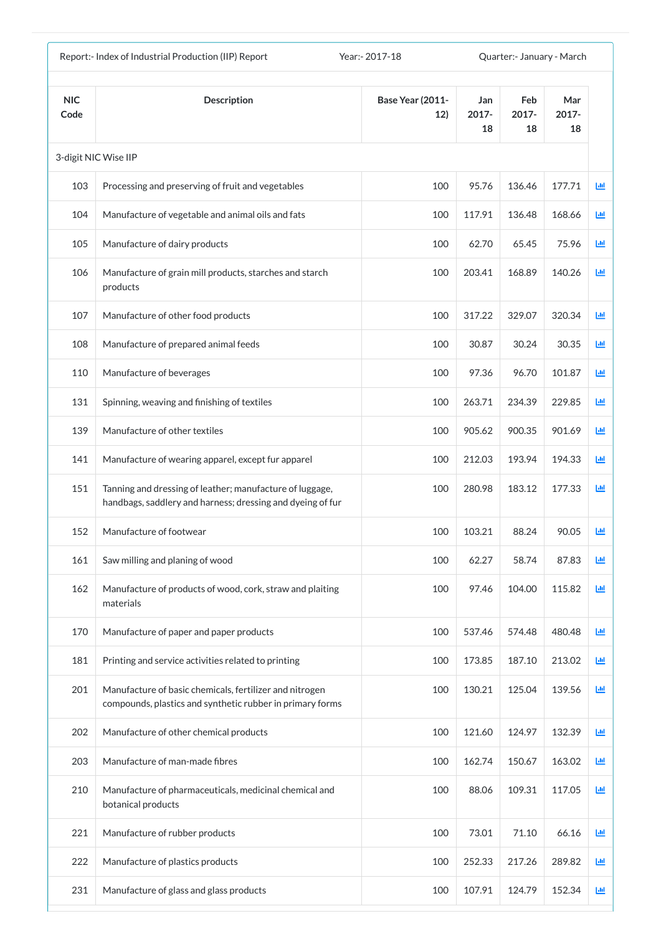| Report:- Index of Industrial Production (IIP) Report<br>Year: - 2017-18<br>Quarter: January - March |                                                                                                                        |                                |                       |                       |                    |            |
|-----------------------------------------------------------------------------------------------------|------------------------------------------------------------------------------------------------------------------------|--------------------------------|-----------------------|-----------------------|--------------------|------------|
| <b>NIC</b><br>Code                                                                                  | <b>Description</b>                                                                                                     | <b>Base Year (2011-</b><br>12) | Jan<br>$2017 -$<br>18 | Feb<br>$2017 -$<br>18 | Mar<br>2017-<br>18 |            |
|                                                                                                     | 3-digit NIC Wise IIP                                                                                                   |                                |                       |                       |                    |            |
| 103                                                                                                 | Processing and preserving of fruit and vegetables                                                                      | 100                            | 95.76                 | 136.46                | 177.71             | <u>lad</u> |
| 104                                                                                                 | Manufacture of vegetable and animal oils and fats                                                                      | 100                            | 117.91                | 136.48                | 168.66             | 画          |
| 105                                                                                                 | Manufacture of dairy products                                                                                          | 100                            | 62.70                 | 65.45                 | 75.96              | 画          |
| 106                                                                                                 | Manufacture of grain mill products, starches and starch<br>products                                                    | 100                            | 203.41                | 168.89                | 140.26             | 國          |
| 107                                                                                                 | Manufacture of other food products                                                                                     | 100                            | 317.22                | 329.07                | 320.34             | 画          |
| 108                                                                                                 | Manufacture of prepared animal feeds                                                                                   | 100                            | 30.87                 | 30.24                 | 30.35              | 匝          |
| 110                                                                                                 | Manufacture of beverages                                                                                               | 100                            | 97.36                 | 96.70                 | 101.87             | 匝          |
| 131                                                                                                 | Spinning, weaving and finishing of textiles                                                                            | 100                            | 263.71                | 234.39                | 229.85             | Ш          |
| 139                                                                                                 | Manufacture of other textiles                                                                                          | 100                            | 905.62                | 900.35                | 901.69             | ш          |
| 141                                                                                                 | Manufacture of wearing apparel, except fur apparel                                                                     | 100                            | 212.03                | 193.94                | 194.33             | ш          |
| 151                                                                                                 | Tanning and dressing of leather; manufacture of luggage,<br>handbags, saddlery and harness; dressing and dyeing of fur | 100                            | 280.98                | 183.12                | 177.33             | ш          |
| 152                                                                                                 | Manufacture of footwear                                                                                                | 100                            | 103.21                | 88.24                 | 90.05              | 画          |
| 161                                                                                                 | Saw milling and planing of wood                                                                                        | 100                            | 62.27                 | 58.74                 | 87.83              | 画          |
| 162                                                                                                 | Manufacture of products of wood, cork, straw and plaiting<br>materials                                                 | 100                            | 97.46                 | 104.00                | 115.82             | 画          |
| 170                                                                                                 | Manufacture of paper and paper products                                                                                | 100                            | 537.46                | 574.48                | 480.48             | 國          |
| 181                                                                                                 | Printing and service activities related to printing                                                                    | 100                            | 173.85                | 187.10                | 213.02             | 画          |
| 201                                                                                                 | Manufacture of basic chemicals, fertilizer and nitrogen<br>compounds, plastics and synthetic rubber in primary forms   | 100                            | 130.21                | 125.04                | 139.56             | 画          |
| 202                                                                                                 | Manufacture of other chemical products                                                                                 | 100                            | 121.60                | 124.97                | 132.39             | 画          |
| 203                                                                                                 | Manufacture of man-made fibres                                                                                         | 100                            | 162.74                | 150.67                | 163.02             | Ш          |
| 210                                                                                                 | Manufacture of pharmaceuticals, medicinal chemical and<br>botanical products                                           | 100                            | 88.06                 | 109.31                | 117.05             | 画          |
| 221                                                                                                 | Manufacture of rubber products                                                                                         | 100                            | 73.01                 | 71.10                 | 66.16              | 画          |
| 222                                                                                                 | Manufacture of plastics products                                                                                       | 100                            | 252.33                | 217.26                | 289.82             | ш          |
| 231                                                                                                 | Manufacture of glass and glass products                                                                                | 100                            | 107.91                | 124.79                | 152.34             | Ш          |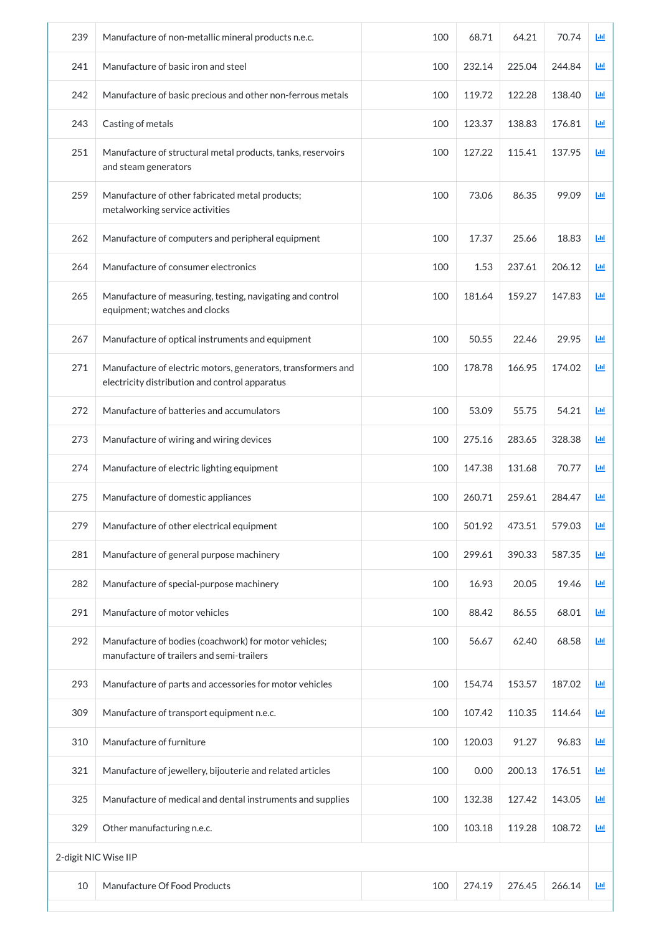| 239                  | Manufacture of non-metallic mineral products n.e.c.                                                            | 100 | 68.71  | 64.21  | 70.74  | 画 |
|----------------------|----------------------------------------------------------------------------------------------------------------|-----|--------|--------|--------|---|
| 241                  | Manufacture of basic iron and steel                                                                            | 100 | 232.14 | 225.04 | 244.84 | 画 |
| 242                  | Manufacture of basic precious and other non-ferrous metals                                                     | 100 | 119.72 | 122.28 | 138.40 | 画 |
| 243                  | Casting of metals                                                                                              | 100 | 123.37 | 138.83 | 176.81 | 画 |
| 251                  | Manufacture of structural metal products, tanks, reservoirs<br>and steam generators                            | 100 | 127.22 | 115.41 | 137.95 | 画 |
| 259                  | Manufacture of other fabricated metal products;<br>metalworking service activities                             | 100 | 73.06  | 86.35  | 99.09  | 画 |
| 262                  | Manufacture of computers and peripheral equipment                                                              | 100 | 17.37  | 25.66  | 18.83  | 画 |
| 264                  | Manufacture of consumer electronics                                                                            | 100 | 1.53   | 237.61 | 206.12 | 画 |
| 265                  | Manufacture of measuring, testing, navigating and control<br>equipment; watches and clocks                     | 100 | 181.64 | 159.27 | 147.83 | 画 |
| 267                  | Manufacture of optical instruments and equipment                                                               | 100 | 50.55  | 22.46  | 29.95  | 画 |
| 271                  | Manufacture of electric motors, generators, transformers and<br>electricity distribution and control apparatus | 100 | 178.78 | 166.95 | 174.02 | ш |
| 272                  | Manufacture of batteries and accumulators                                                                      | 100 | 53.09  | 55.75  | 54.21  | 画 |
| 273                  | Manufacture of wiring and wiring devices                                                                       | 100 | 275.16 | 283.65 | 328.38 | 画 |
| 274                  | Manufacture of electric lighting equipment                                                                     | 100 | 147.38 | 131.68 | 70.77  | 画 |
| 275                  | Manufacture of domestic appliances                                                                             | 100 | 260.71 | 259.61 | 284.47 | ш |
| 279                  | Manufacture of other electrical equipment                                                                      | 100 | 501.92 | 473.51 | 579.03 | 画 |
| 281                  | Manufacture of general purpose machinery                                                                       | 100 | 299.61 | 390.33 | 587.35 | 画 |
| 282                  | Manufacture of special-purpose machinery                                                                       | 100 | 16.93  | 20.05  | 19.46  | 画 |
| 291                  | Manufacture of motor vehicles                                                                                  | 100 | 88.42  | 86.55  | 68.01  | 画 |
| 292                  | Manufacture of bodies (coachwork) for motor vehicles;<br>manufacture of trailers and semi-trailers             | 100 | 56.67  | 62.40  | 68.58  | 画 |
| 293                  | Manufacture of parts and accessories for motor vehicles                                                        | 100 | 154.74 | 153.57 | 187.02 | 画 |
| 309                  | Manufacture of transport equipment n.e.c.                                                                      | 100 | 107.42 | 110.35 | 114.64 | 画 |
| 310                  | Manufacture of furniture                                                                                       | 100 | 120.03 | 91.27  | 96.83  | 画 |
| 321                  | Manufacture of jewellery, bijouterie and related articles                                                      | 100 | 0.00   | 200.13 | 176.51 | 画 |
| 325                  | Manufacture of medical and dental instruments and supplies                                                     | 100 | 132.38 | 127.42 | 143.05 | 画 |
| 329                  | Other manufacturing n.e.c.                                                                                     | 100 | 103.18 | 119.28 | 108.72 | 画 |
| 2-digit NIC Wise IIP |                                                                                                                |     |        |        |        |   |
| 10                   | Manufacture Of Food Products                                                                                   | 100 | 274.19 | 276.45 | 266.14 | 画 |